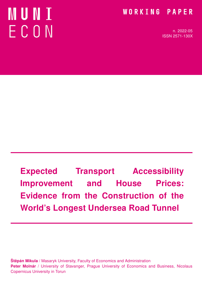# MUNT ECON

# WORKING PAPER

n. 2022-05 ISSN 2571-130X

Expected Transport Accessibility Improvement and House Prices: Evidence from the Construction of the World's Longest Undersea Road Tunnel

**Štěpán Mikula** / Masaryk University, Faculty of Economics and Administration Peter Molnár / University of Stavanger, Prague University of Economics and Business, Nicolaus Copernicus University in Torun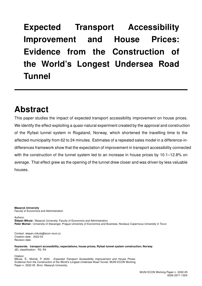Expected Transport Accessibility Improvement and House Prices: Evidence from the Construction of the World's Longest Undersea Road Tunnel

# Abstract

This paper studies the impact of expected transport accessibility improvement on house prices. We identify the effect exploiting a quasi-natural experiment created by the approval and construction of the Ryfast tunnel system in Rogaland, Norway, which shortened the travelling time to the affected municipality from 62 to 24 minutes. Estimates of a repeated sales model in a difference-indifferences framework show that the expectation of improvement in transport accessibility connected with the construction of the tunnel system led to an increase in house prices by 10.1–12.8% on average. That effect grew as the opening of the tunnel drew closer and was driven by less valuable houses.

Masaryk University Faculty of Economics and Administration

Authors:

Štěpán Mikula / Masaryk University, Faculty of Economics and Administration Peter Molnár / University of Stavanger, Prague University of Economics and Business, Nicolaus Copernicus University in Torun

Contact: stepan.mikula@econ.muni.cz Creation date: 2022-03 Revision date:

Keywords: transport accessibility; expectations; house prices; Ryfast tunnel system construction; Norway JEL classification: R3, R4

Citation:

Mikula, Š., Molnár, P. 2022. Expected Transport Accessibility Improvement and House Prices: Evidence from the Construction of the World's Longest Undersea Road Tunnel. MUNI ECON Working Paper n. 2022-05. Brno: Masaryk University.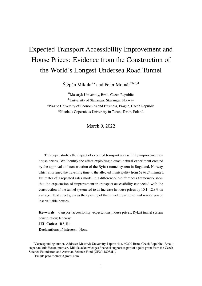# Expected Transport Accessibility Improvement and House Prices: Evidence from the Construction of the World's Longest Undersea Road Tunnel

Štěpán Mikula<sup>∗a</sup> and Peter Molnár<sup>†b,c,d</sup>

<sup>a</sup>Masaryk University, Brno, Czech Republic <sup>b</sup>University of Stavanger, Stavanger, Norway <sup>c</sup>Prague University of Economics and Business, Prague, Czech Republic <sup>d</sup>Nicolaus Copernicus University in Torun, Torun, Poland.

March 9, 2022

This paper studies the impact of expected transport accessibility improvement on house prices. We identify the effect exploiting a quasi-natural experiment created by the approval and construction of the Ryfast tunnel system in Rogaland, Norway, which shortened the travelling time to the affected municipality from 62 to 24 minutes. Estimates of a repeated sales model in a difference-in-differences framework show that the expectation of improvement in transport accessibility connected with the construction of the tunnel system led to an increase in house prices by 10.1–12.8% on average. That effect grew as the opening of the tunnel drew closer and was driven by less valuable houses.

**Keywords:** transport accessibility; expectations; house prices; Ryfast tunnel system construction; Norway **JEL Codes:** R3, R4 **Declarations of interest:** None.

<sup>∗</sup>Corresponding author. Address: Masaryk University, Lipová 41a, 60200 Brno, Czech Republic. Email: stepan.mikula@econ.muni.cz. Mikula acknowledges financial support as part of a joint grant from the Czech Science Foundation and Austrian Science Fund (GF20-18033L).

<sup>†</sup>Email: peto.molnar@gmail.com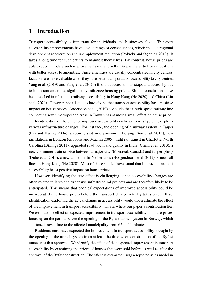#### **1 Introduction**

Transport accessibility is important for individuals and businesses alike. Transport accessibility improvements have a wide range of consequences, which include regional development acceleration and unemployment reduction (Rokicki and Stępniak 2018). It takes a long time for such effects to manifest themselves. By contrast, house prices are able to accommodate such improvements more rapidly. People prefer to live in locations with better access to amenities. Since amenities are usually concentrated in city centres, locations are more valuable when they have better transportation accessibility to city centres. Yang et al. (2019) and Yang et al. (2020) find that access to bus stops and access by bus to important amenities significantly influence housing prices. Similar conclusions have been reached in relation to railway accessibility in Hong Kong (He 2020) and China (Liu et al. 2021). However, not all studies have found that transport accessibility has a positive impact on house prices. Andersson et al. (2010) conclude that a high-speed railway line connecting seven metropolitan areas in Taiwan has at most a small effect on house prices.

Identification of the effect of improved accessibility on house prices typically exploits various infrastructure changes. For instance, the opening of a subway system in Taipei (Lin and Hwang 2004), a subway system expansion in Beijing (Sun et al. 2015), new rail stations in London (Gibbons and Machin 2005), light rail transit in Charlotte, North Carolina (Billings 2011), upgraded road width and quality in India (Ghani et al. 2013), a new commuter train service between a major city (Montreal, Canada) and its periphery (Dubé et al. 2013), a new tunnel in the Netherlands (Hoogendoorn et al. 2019) or new rail lines in Hong Kong (He 2020). Most of these studies have found that improved transport accessibility has a positive impact on house prices.

However, identifying the true effect is challenging, since accessibility changes are often related to large and expensive infrastructural projects and are therefore likely to be anticipated. This means that peoples' expectations of improved accessibility could be incorporated into house prices before the transport change actually takes place. If so, identification exploiting the actual change in accessibility would underestimate the effect of the improvement in transport accessibility. This is where our paper's contribution lies. We estimate the effect of expected improvement in transport accessibility on house prices, focusing on the period before the opening of the Ryfast tunnel system in Norway, which shortened travel time to the affected municipality from 62 to 24 minutes.

Residents must have expected the improvement in transport accessibility brought by the opening of the tunnel system from at least the time when construction of the Ryfast tunnel was first approved. We identify the effect of that expected improvement in transport accessibility by examining the prices of houses that were sold before as well as after the approval of the Ryfast construction. The effect is estimated using a repeated sales model in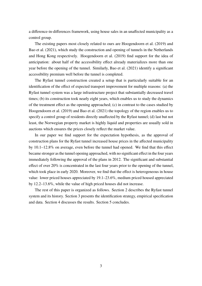a difference-in-differences framework, using house sales in an unaffected municipality as a control group.

The existing papers most closely related to ours are Hoogendoorn et al. (2019) and Bao et al. (2021), which study the construction and opening of tunnels in the Netherlands and Hong Kong respectively. Hoogendoorn et al. (2019) find support for the idea of anticipation: about half of the accessibility effect already materializes more than one year before the opening of the tunnel. Similarly, Bao et al. (2021) identify a significant accessibility premium well before the tunnel is completed.

The Ryfast tunnel construction created a setup that is particularly suitable for an identification of the effect of expected transport improvement for multiple reasons: (a) the Ryfast tunnel system was a large infrastructure project that substantially decreased travel times; (b) its construction took nearly eight years, which enables us to study the dynamics of the treatment effect as the opening approached; (c) in contrast to the cases studied by Hoogendoorn et al. (2019) and Bao et al. (2021) the topology of the region enables us to specify a control group of residents directly unaffected by the Ryfast tunnel; (d) last but not least, the Norwegian property market is highly liquid and properties are usually sold in auctions which ensures the prices closely reflect the market value.

In our paper we find support for the expectation hypothesis, as the approval of construction plans for the Ryfast tunnel increased house prices in the affected municipality by 10.1–12.8% on average, even before the tunnel had opened. We find that this effect became stronger as the tunnel opening approached, with no significant effect in the four years immediately following the approval of the plans in 2012. The significant and substantial effect of over 20% is concentrated in the last four years prior to the opening of the tunnel, which took place in early 2020. Moreover, we find that the effect is heterogeneous in house value: lower priced houses appreciated by 19.1–23.6%, medium priced housed appreciated by 12.2–13.6%, while the value of high priced houses did not increase.

The rest of this paper is organized as follows. Section 2 describes the Ryfast tunnel system and its history. Section 3 presents the identification strategy, empirical specification and data. Section 4 discusses the results. Section 5 concludes.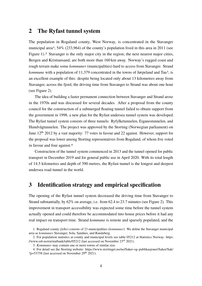#### **2 The Ryfast tunnel system**

The population in Rogaland county, West Norway, is concentrated in the Stavanger municipal area<sup>1</sup>; 54% (233,964) of the county's population lived in this area in 2011 (see Figure 1).<sup>2</sup> Stavanger is the only major city in the region; the next nearest major cities, Bergen and Kristiansand, are both more than 160 km away. Norway's rugged coast and rough terrain make some *kommuner* (municipalities) hard to access from Stavanger. Strand *kommune* with a population of 11,379 concentrated in the towns of Jørpeland and Tau<sup>3</sup>, is an excellent example of this: despite being located only about 13 kilometres away from Stavanger, across the fjord, the driving time from Stavanger to Strand was about one hour (see Figure 2).

The idea of building a faster permanent connection between Stavanger and Strand arose in the 1970s and was discussed for several decades. After a proposal from the county council for the construction of a submerged floating tunnel failed to obtain support from the government in 1998, a new plan for the Ryfast undersea tunnel system was developed. The Ryfast tunnel system consists of three tunnels: Ryfylketunnelen, Eiganestunnelen, and Hundvågtunnelen. The project was approved by the Storting (Norwegian parliament) on June 12th 2012 by a vast majority: 77 votes in favour and 22 against. However, support for the proposal was lower among Storting representatives from Rogaland, of whom five voted in favour and four against.4

Construction of the tunnel system commenced in 2013 and the tunnel opened for public transport in December 2019 and for general public use in April 2020. With its total length of 14.5 kilometres and depth of 390 metres, the Ryfast tunnel is the longest and deepest undersea road tunnel in the world.

## **3 Identification strategy and empirical specification**

The opening of the Ryfast tunnel system decreased the driving time from Stavanger to Strand substantially, by 62% on average, i.e. from 62.4 to 23.7 minutes (see Figure 2). This improvement in transport accessibility was expected some time before the tunnel system actually opened and could therefore be accommodated into house prices before it had any real impact on transport time. Strand *kommune* is remote and sparsely populated, and the

<sup>1.</sup> Rogaland county (*fylke*) consists of 23 municipalities (*kommuner*). We define the Stavanger municipal area as *kommuner* Stavanger, Sola, Sandnes, and Randaberg.

<sup>2.</sup> For population statistics at county and municipal levels see table 05212 at Statistics Norway: https: //www.ssb.no/en/statbank/table/05212 (last accessed on November 23rd 2021).

<sup>3.</sup> *Kommuner* may contain one or more towns of similar size.

<sup>4.</sup> For detail see the Storting website: https://www.stortinget.no/no/Saker-og-publikasjoner/Saker/Sak/  $?p=53758$  (last accessed on November 29<sup>th</sup> 2021).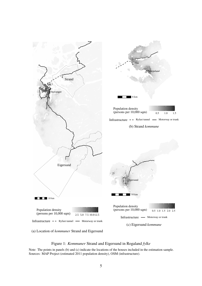

(a) Location of *kommuner* Strand and Eigersund

#### Figure 1: *Kommuner* Strand and Eigersund in Rogaland *fylke*

Note: The points in panels (b) and (c) indicate the locations of the houses included in the estimation sample. Sources: MAP Project (estimated 2011 population density), OSM (infrastructure).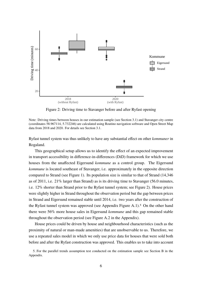

Figure 2: Driving time to Stavanger before and after Ryfast opening

Note: Driving times between houses in our estimation sample (see Section 3.1) and Stavanger city centre (coordinates 58.967114, 5.732246) are calculated using Routino navigation software and Open Street Map data from 2018 and 2020. For details see Section 3.1.

Ryfast tunnel system was thus unlikely to have any substantial effect on other *kommuner* in Rogaland.

This geographical setup allows us to identify the effect of an expected improvement in transport accessibility in difference-in-differences (DiD) framework for which we use houses from the unaffected Eigersund *kommune* as a control group. The Eigersund *kommune* is located southeast of Stavanger, i.e. approximately in the opposite direction compared to Strand (see Figure 1). Its population size is similar to that of Strand (14,346 as of 2011, i.e. 21% larger than Strand) as is its driving time to Stavanger (56.0 minutes, i.e. 12% shorter than Strand prior to the Ryfast tunnel system; see Figure 2). House prices were slightly higher in Strand throughout the observation period but the gap between prices in Strand and Eigersund remained stable until 2014, i.e. two years after the construction of the Ryfast tunnel system was approved (see Appendix Figure A.1).5 On the other hand there were 56% more house sales in Eigersund *kommune* and this gap remained stable throughout the observation period (see Figure A.2 in the Appendix).

House prices could be driven by house and neighbourhood characteristics (such as the proximity of natural or man-made amenities) that are unobservable to us. Therefore, we use a repeated sales model in which we only use price data for houses that were sold both before and after the Ryfast construction was approved. This enables us to take into account

<sup>5.</sup> For the parallel trends assumption test conducted on the estimation sample see Section B in the Appendix.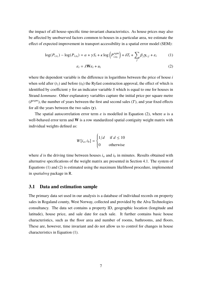the impact of all house-specific time-invariant characteristics. As house prices may also be affected by unobserved factors common to houses in a particular area, we estimate the effect of expected improvement in transport accessibility in a spatial error model (SEM):

$$
\log(P_{i,t_1}) - \log(P_{i,t_0}) = \alpha + \gamma S_i + \kappa \log \left( P_{i,t_0}^{sgm} \right) + \delta T_i + \sum_j \beta_j \mathbf{y}_{i,j} + \varepsilon_i \tag{1}
$$

$$
\varepsilon_i = \lambda \mathbf{W} \varepsilon_i + u_i \tag{2}
$$

where the dependent variable is the difference in logarithms between the price of house  $i$ when sold after  $(t_1)$  and before  $(t_0)$  the Ryfast construction approval, the effect of which is identified by coefficient  $\gamma$  for an indicator variable S which is equal to one for houses in Strand *kommune*. Other explanatory variables capture the initial price per square metre  $(P^{sqm})$ , the number of years between the first and second sales  $(T)$ , and year fixed effects for all the years between the two sales (**y**).

The spatial autocorrelation error term  $\varepsilon$  is modelled in Equation (2), where u is a well-behaved error term and **W** is a row standardized spatial contiguity weight matrix with individual weights defined as:

$$
W[i_a, i_b] = \begin{cases} 1/d & \text{if } d \le 10\\ 0 & \text{otherwise} \end{cases}
$$

 $\overline{a}$ 

where  $d$  is the driving time between houses  $i_a$  and  $i_b$  in minutes. Results obtained with alternative specifications of the weight matrix are presented in Section 4.1. The system of Equations (1) and (2) is estimated using the maximum likelihood procedure, implemented in *spatialreg* package in R.

#### **3.1 Data and estimation sample**

The primary data set used in our analysis is a database of individual records on property sales in Rogaland county, West Norway, collected and provided by the Alva Technologies consultancy. The data set contains a property ID, geographic location (longitude and latitude), house price, and sale date for each sale. It further contains basic house characteristics, such as the floor area and number of rooms, bathrooms, and floors. These are, however, time invariant and do not allow us to control for changes in house characteristics in Equation (1).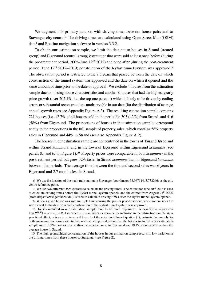We augment this primary data set with driving times between house pairs and to Stavanger city centre.<sup>6</sup> The driving times are calculated using Open Street Map (OSM) data7 and Routino navigation software in version 3.3.2.

To obtain our estimation sample, we limit the data set to houses in Strand (treated group) and Eigersund (control group) *kommuner* that were sold at least once before (during the pre-treatment period,  $2005$ –June  $12<sup>th</sup> 2012$ ) and once after (during the post-treatment period, June  $12<sup>th</sup> 2012–2019$  construction of the Ryfast tunnel system was approved.<sup>8</sup> The observation period is restricted to the 7.5 years that passed between the date on which construction of the tunnel system was approved and the date on which it opened and the same amount of time prior to the date of approval. We exclude 4 houses from the estimation sample due to missing house characteristics and another 8 houses that had the highest yearly price growth (over 202.1%, i.e. the top one percent) which is likely to be driven by coding errors or substantial reconstructions unobservable in our data (for the distribution of average annual growth rates see Appendix Figure A.3). The resulting estimation sample contains 721 houses (i.e. 12.7% of all houses sold in the period<sup>9</sup>): 305 (42%) from Strand, and 416 (58%) from Eigersund. The proportions of houses in the estimation sample correspond neatly to the proportions in the full sample of property sales, which contains 56% property sales in Eigersund and 44% in Strand (see also Appendix Figure A.2).

The houses in our estimation sample are concentrated in the towns of Tau and Jørpeland within Strand *kommune*, and in the town of Egersund within Eigersund *kommune* (see panels (b) and (c) in Figure 1).10 Property prices were comparable in both *kommuner* in the pre-treatment period, but grew 32% faster in Strand *kommune* than in Eigersund *kommune* between the periods. The average time between the first and second sales was 6 years in Eigersund and 2.7 months less in Strand.

6. We use the location of the main train station in Stavanger (coordinates 58.967114, 5.732246) as the city centre reference point.

7. We use two different OSM extracts to calculate the driving times. The extract for June 30<sup>th</sup> 2018 is used to calculate driving times before the Ryfast tunnel system opened, and the extract from August 24<sup>th</sup> 2020 (from https://www.geofabrik.de/) is used to calculate driving times after the Ryfast tunnel system opened.

8. When a given house was sold multiple times during the pre- or post-treatment period we consider the sale closest to the date on which construction of the Ryfast tunnel system was approved.

9. Houses included in our estimation sample tend to be more expensive. A descriptive regression  $\log(P_i^{sgm})$  $\sum_{i=1}^{sqm}$ ) =  $\alpha + vE_i + \theta_i + \omega$ , where  $E_i$  is an indicator variable for inclusion in the estimation sample,  $\theta_i$  is year fixed effect,  $\omega$  is an error term and the rest of the notation follows Equation (1), estimated separately for both *kommuner* on houses sold in the pre-treatment period, shows that the houses included in our estimation sample were 12.7% more expensive than the average house in Eigersund and 19.4% more expensive than the average house in Strand.

10. The high geographical concentration of the houses in our estimation sample results in low variation in the driving times from these houses to Stavanger (see Figure 2).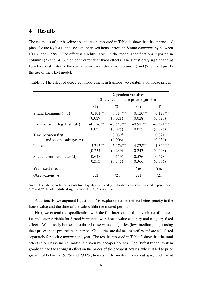#### **4 Results**

The estimates of our baseline specification, reported in Table 1, show that the approval of plans for the Ryfast tunnel system increased house prices in Strand *kommune* by between 10.1% and 12.8%. The effect is slightly larger in the model specifications reported in columns (3) and (4), which control for year fixed effects. The statistically significant (at 10% level) estimates of the spatial error parameter  $\lambda$  in columns (1) and (2) ex post justify the use of the SEM model.

|                                               | Dependent variable:<br>Difference in house price logarithms |                        |                        |                        |
|-----------------------------------------------|-------------------------------------------------------------|------------------------|------------------------|------------------------|
|                                               | (1)                                                         | (2)                    | (3)                    | (4)                    |
| Strand kommune $(= 1)$                        | $0.101***$<br>(0.029)                                       | $0.114***$<br>(0.028)  | $0.126***$<br>(0.028)  | $0.128***$<br>(0.028)  |
| Price per sqm (log, first sale)               | $-0.576***$<br>(0.025)                                      | $-0.543***$<br>(0.025) | $-0.521***$<br>(0.025) | $-0.521***$<br>(0.025) |
| Time between first<br>and second sale (years) |                                                             | $0.039***$<br>(0.006)  |                        | 0.021<br>(0.039)       |
| Intercept                                     | $5.715***$<br>(0.234)                                       | $5.176***$<br>(0.239)  | 4.878***<br>(0.243)    | 4.869***<br>(0.243)    |
| Spatial error parameter $(\lambda)$           | $-0.628*$<br>(0.353)                                        | $-0.659*$<br>(0.345)   | $-0.576$<br>(0.366)    | $-0.578$<br>(0.366)    |
| Year fixed effects                            |                                                             |                        | Yes                    | Yes.                   |
| Observations $(n)$                            | 721                                                         | 721                    | 721                    | 721                    |

Table 1: The effect of expected improvement in transport accessibility on house prices

Notes: The table reports coefficients from Equations (1) and (2). Standard errors are reported in parentheses: ∗ , ∗∗ and ∗∗∗ denote statistical significance at 10%, 5% and 1%.

Additionally, we augment Equation (1) to explore treatment effect heterogeneity in the house value and the time of the sale within the treated period.

First, we extend the specification with the full interaction of the variable of interest, i.e. indicator variable for Strand *kommune*, with house value category and category fixed effects. We classify houses into three house value categories (low, medium, high) using their prices in the pre-treatment period. Categories are defined as tertiles and are calculated separately for each *kommune* and year. The results reported in Table 2 show that the total effect in our baseline estimates is driven by cheaper houses. The Ryfast tunnel system go-ahead had the strongest effect on the prices of the cheapest houses, where it led to price growth of between 19.1% and 23.6%; houses in the medium price category underwent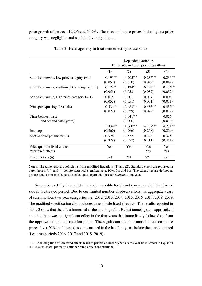price growth of between 12.2% and 13.6%. The effect on house prices in the highest price category was negligible and statistically insignificant.

|                                                       | Dependent variable:<br>Difference in house price logarithms |                       |             |                  |
|-------------------------------------------------------|-------------------------------------------------------------|-----------------------|-------------|------------------|
|                                                       | (1)                                                         | (2)                   | (3)         | (4)              |
| Strand <i>kommune</i> , low price category $(= 1)$    | $0.191***$                                                  | $0.205***$            | $0.235***$  | $0.236***$       |
|                                                       | (0.052)                                                     | (0.050)               | (0.049)     | (0.049)          |
| Strand <i>kommune</i> , medium price category $(= 1)$ | $0.122**$                                                   | $0.124**$             | $0.133**$   | $0.136***$       |
|                                                       | (0.055)                                                     | (0.053)               | (0.052)     | (0.052)          |
| Strand <i>kommune</i> , high price category $(= 1)$   | $-0.018$                                                    | $-0.001$              | 0.007       | 0.008            |
|                                                       | (0.053)                                                     | (0.051)               | (0.051)     | (0.051)          |
| Price per sqm (log, first sale)                       | $-0.531***$                                                 | $-0.483***$           | $-0.453***$ | $-0.453***$      |
|                                                       | (0.029)                                                     | (0.029)               | (0.029)     | (0.029)          |
| Time between first<br>and second sale (years)         |                                                             | $0.041***$<br>(0.006) |             | 0.025<br>(0.039) |
| Intercept                                             | 5.334***                                                    | $4.660***$            | $4.282***$  | $4.271***$       |
|                                                       | (0.260)                                                     | (0.266)               | (0.268)     | (0.269)          |
| Spatial error parameter $(\lambda)$                   | $-0.526$                                                    | $-0.532$              | $-0.323$    | $-0.325$         |
|                                                       | (0.378)                                                     | (0.377)               | (0.411)     | (0.411)          |
| Price quantile fixed effects<br>Year fixed effects    | Yes                                                         | Yes                   | Yes<br>Yes  | Yes<br>Yes       |
| Observations $(n)$                                    | 721                                                         | 721                   | 721         | 721              |

Table 2: Heterogeneity in treatment effect by house value

Notes: The table reports coefficients from modified Equations (1) and (2). Standard errors are reported in parentheses: \*, \*\* and \*\*\* denote statistical significance at 10%, 5% and 1%. The categories are defined as pre-treatment house price tertiles calculated separately for each *kommune* and year.

Secondly, we fully interact the indicator variable for Strand *kommune* with the time of sale in the treated period. Due to our limited number of observations, we aggregate years of sale into four two-year categories, i.e. 2012–2013, 2014–2015, 2016–2017, 2018–2019. The modified specification also includes time of sale fixed effects.<sup>11</sup> The results reported in Table 3 show that the effect increased as the opening of the Ryfast tunnel system approached, and that there was no significant effect in the four years that immediately followed on from the approval of the construction plans. The significant and substantial effect on house prices (over 20% in all cases) is concentrated in the last four years before the tunnel opened (i.e. time periods 2016–2017 and 2018–2019).

11. Including time of sale fixed effects leads to perfect collinearity with some year fixed effects in Equation (1). In such cases, perfectly collinear fixed effects are excluded.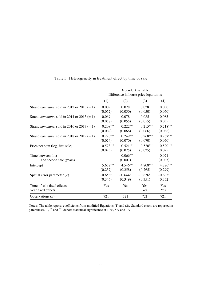|                                                      | Dependent variable:<br>Difference in house price logarithms |                       |                          |                  |
|------------------------------------------------------|-------------------------------------------------------------|-----------------------|--------------------------|------------------|
|                                                      | (1)                                                         | (2)                   | (3)                      | (4)              |
| Strand kommune, sold in 2012 or 2013 $(= 1)$         | 0.009                                                       | 0.028                 | 0.028                    | 0.030            |
|                                                      | (0.052)                                                     | (0.050)               | (0.050)                  | (0.050)          |
| Strand <i>kommune</i> , sold in 2014 or 2015 $(= 1)$ | 0.069                                                       | 0.078                 | 0.085                    | 0.085            |
|                                                      | (0.058)                                                     | (0.055)               | (0.055)                  | (0.055)          |
| Strand <i>kommune</i> , sold in 2016 or 2017 $(= 1)$ | $0.208***$                                                  | $0.222***$            | $0.215***$               | $0.218***$       |
|                                                      | (0.069)                                                     | (0.066)               | (0.066)                  | (0.066)          |
| Strand <i>kommune</i> , sold in 2018 or 2019 $(= 1)$ | $0.220***$                                                  | $0.249***$            | $0.268***$               | $0.267***$       |
|                                                      | (0.074)                                                     | (0.070)               | (0.070)                  | (0.070)          |
| Price per sqm (log, first sale)                      | $-0.573***$                                                 | $-0.521***$           | $-0.520***$              | $-0.520***$      |
|                                                      | (0.025)                                                     | (0.025)               | (0.025)                  | (0.025)          |
| Time between first<br>and second sale (years)        |                                                             | $0.066***$<br>(0.007) |                          | 0.021<br>(0.035) |
| Intercept                                            | $5.652***$                                                  | $4.546***$            | $4.808***$               | $4.726***$       |
|                                                      | (0.237)                                                     | (0.258)               | (0.265)                  | (0.299)          |
| Spatial error parameter $(\lambda)$                  | $-0.656*$                                                   | $-0.644*$             | $-0.636*$                | $-0.633*$        |
|                                                      | (0.346)                                                     | (0.349)               | (0.351)                  | (0.352)          |
| Time of sale fixed effects<br>Year fixed effects     | Yes                                                         | Yes                   | <b>Yes</b><br><b>Yes</b> | Yes<br>Yes       |
| Observations $(n)$                                   | 721                                                         | 721                   | 721                      | 721              |

Table 3: Heterogeneity in treatment effect by time of sale

Notes: The table reports coefficients from modified Equations (1) and (2). Standard errors are reported in parentheses: \*, \*\* and \*\*\* denote statistical significance at 10%, 5% and 1%.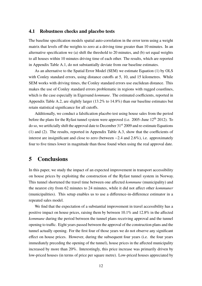#### **4.1 Robustness checks and placebo tests**

The baseline specification models spatial auto-correlation in the error term using a weight matrix that levels off the weights to zero at a driving time greater than 10 minutes. In an alternative specification we (a) shift the threshold to 20 minutes, and (b) set equal weights to all houses within 10 minutes driving time of each other. The results, which are reported in Appendix Table A.1, do not substantially deviate from our baseline estimates.

As an alternative to the Spatial Error Model (SEM) we estimate Equation (1) by OLS with Conley standard errors, using distance cutoffs at 5, 10, and 15 kilometres. While SEM works with driving times, the Conley standard errors use euclidean distance. This makes the use of Conley standard errors problematic in regions with rugged coastlines, which is the case especially in Eigersund *kommune*. The estimated coefficients, reported in Appendix Table A.2, are slightly larger (13.2% to 14.8%) than our baseline estimates but retain statistical significance for all cutoffs.

Additionally, we conduct a falsification placebo test using house sales from the period before the plans for the Ryfast tunnel system were approved (i.e. 2005–June 12<sup>th</sup> 2012). To do so, we artificially shift the approval date to December  $31<sup>st</sup>$  2009 and re-estimate Equations (1) and (2). The results, reported in Appendix Table A.3, show that the coefficients of interest are insignificant and close to zero (between −2.4 and 2.6%), i.e. approximately four to five times lower in magnitude than those found when using the real approval date.

### **5 Conclusions**

In this paper, we study the impact of an expected improvement in transport accessibility on house prices by exploiting the construction of the Ryfast tunnel system in Norway. This tunnel shortened the travel time between one affected *kommune* (municipality) and the nearest city from 62 minutes to 24 minutes, while it did not affect other *kommuner* (municipalities). This setup enables us to use a difference-in-difference estimator in a repeated sales model.

We find that the expectation of a substantial improvement in travel accessibility has a positive impact on house prices, raising them by between 10.1% and 12.8% in the affected *kommune* during the period between the tunnel plans receiving approval and the tunnel opening to traffic. Eight years passed between the approval of the construction plans and the tunnel actually opening. For the first four of those years we do not observe any significant effect on house prices. However, during the subsequent four years (i.e. the four years immediately preceding the opening of the tunnel), house prices in the affected municipality increased by more than 20%. Interestingly, this price increase was primarily driven by low-priced houses (in terms of price per square metre). Low-priced houses appreciated by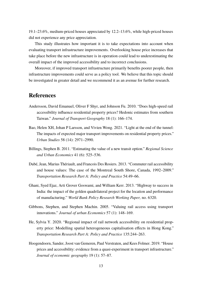19.1–23.6%, medium-priced houses appreciated by 12.2–13.6%, while high-priced houses did not experience any price appreciation.

This study illustrates how important it is to take expectations into account when evaluating transport infrastructure improvements. Overlooking house price increases that take place before the new infrastructure is in operation could lead to underestimating the overall impact of the improved accessibility and to incorrect conclusions.

Moreover, if improved transport infrastructure primarily benefits poorer people, then infrastructure improvements could serve as a policy tool. We believe that this topic should be investigated in greater detail and we recommend it as an avenue for further research.

## **References**

- Andersson, David Emanuel, Oliver F Shyr, and Johnson Fu. 2010. "Does high-speed rail accessibility influence residential property prices? Hedonic estimates from southern Taiwan." *Journal of Transport Geography* 18 (1): 166–174.
- Bao, Helen XH, Johan P Larsson, and Vivien Wong. 2021. "Light at the end of the tunnel: The impacts of expected major transport improvements on residential property prices." *Urban Studies* 58 (14): 2971–2990.
- Billings, Stephen B. 2011. "Estimating the value of a new transit option." *Regional Science and Urban Economics* 41 (6): 525–536.
- Dubé, Jean, Marius Thériault, and Francois Des Rosiers. 2013. "Commuter rail accessibility and house values: The case of the Montreal South Shore, Canada, 1992–2009." *Transportation Research Part A: Policy and Practice* 54:49–66.
- Ghani, Syed Ejaz, Arti Grover Goswami, and William Kerr. 2013. "Highway to success in India: the impact of the golden quadrilateral project for the location and performance of manufacturing." *World Bank Policy Research Working Paper,* no. 6320.
- Gibbons, Stephen, and Stephen Machin. 2005. "Valuing rail access using transport innovations." *Journal of urban Economics* 57 (1): 148–169.
- He, Sylvia Y. 2020. "Regional impact of rail network accessibility on residential property price: Modelling spatial heterogeneous capitalisation effects in Hong Kong." *Transportation Research Part A: Policy and Practice* 135:244–263.
- Hoogendoorn, Sander, Joost van Gemeren, Paul Verstraten, and Kees Folmer. 2019. "House prices and accessibility: evidence from a quasi-experiment in transport infrastructure." *Journal of economic geography* 19 (1): 57–87.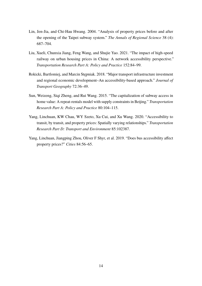- Lin, Jen-Jia, and Chi-Hau Hwang. 2004. "Analysis of property prices before and after the opening of the Taipei subway system." *The Annals of Regional Science* 38 (4): 687–704.
- Liu, Xueli, Chunxia Jiang, Feng Wang, and Shujie Yao. 2021. "The impact of high-speed railway on urban housing prices in China: A network accessibility perspective." *Transportation Research Part A: Policy and Practice* 152:84–99.
- Rokicki, Bartlomiej, and Marcin Stępniak. 2018. "Major transport infrastructure investment and regional economic development–An accessibility-based approach." *Journal of Transport Geography* 72:36–49.
- Sun, Weizeng, Siqi Zheng, and Rui Wang. 2015. "The capitalization of subway access in home value: A repeat-rentals model with supply constraints in Beijing." *Transportation Research Part A: Policy and Practice* 80:104–115.
- Yang, Linchuan, KW Chau, WY Szeto, Xu Cui, and Xu Wang. 2020. "Accessibility to transit, by transit, and property prices: Spatially varying relationships." *Transportation Research Part D: Transport and Environment* 85:102387.
- Yang, Linchuan, Jiangping Zhou, Oliver F Shyr, et al. 2019. "Does bus accessibility affect property prices?" *Cities* 84:56–65.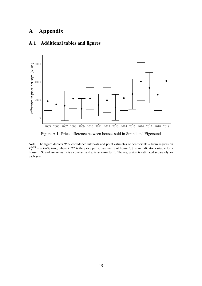## **A Appendix**



#### **A.1 Additional tables and figures**

Figure A.1: Price difference between houses sold in Strand and Eigersund

Note: The figure depicts 95% confidence intervals and point estimates of coefficients  $\theta$  from regression  $P^{sqm}$  $\sum_{i=1}^{n}$  =  $v + \theta S_i + \omega_i$ , where  $P^{sqm}$  is the price per square metre of house i, S is an indicator variable for a house in Strand *kommune*,  $\nu$  is a constant and  $\omega$  is an error term. The regression is estimated separately for each year.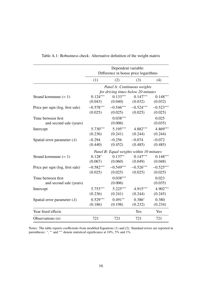|                                               | Dependent variable:<br>Difference in house price logarithms       |                                          |                                   |                        |
|-----------------------------------------------|-------------------------------------------------------------------|------------------------------------------|-----------------------------------|------------------------|
|                                               | (1)                                                               | (2)                                      | (3)                               | (4)                    |
|                                               | Panel A: Continuous weights<br>for driving times below 20 minutes |                                          |                                   |                        |
| Strand kommune $(= 1)$                        | $0.124***$<br>(0.043)                                             | $0.133***$                               | $0.147***$<br>$(0.040)$ $(0.032)$ | $0.148***$<br>(0.032)  |
| Price per sqm (log, first sale)               | $-0.578***$<br>(0.025)                                            | $-0.546***$<br>(0.025)                   | $-0.524***$<br>(0.025)            | $-0.523***$<br>(0.025) |
| Time between first<br>and second sale (years) |                                                                   | $0.038***$<br>(0.006)                    |                                   | 0.025<br>(0.035)       |
| Intercept                                     | 5.730***<br>(0.236)                                               | 5.195***<br>(0.241)                      | 4.882***<br>(0.244)               | 4.869***<br>(0.244)    |
| Spatial error parameter $(\lambda)$           | $-0.294$<br>(0.440)                                               | $-0.256$<br>(0.452)                      | $-0.074$<br>(0.485)               | $-0.072$<br>(0.485)    |
|                                               |                                                                   | Panel B: Equal weights within 10 minutes |                                   |                        |
| Strand kommune $(= 1)$                        | $0.128*$<br>(0.067)                                               | $0.137**$<br>(0.060)                     | $0.147***$<br>(0.049)             | $0.148***$<br>(0.048)  |
| Price per sqm (log, first sale)               | $-0.582***$<br>(0.025)                                            | $-0.549***$<br>(0.025)                   | $-0.526***$<br>(0.025)            | $-0.525***$<br>(0.025) |
| Time between first<br>and second sale (years) |                                                                   | $0.038***$<br>(0.006)                    |                                   | 0.023<br>(0.035)       |
| Intercept                                     | $5.753***$<br>(0.236)                                             | $5.225***$<br>(0.241)                    | 4.915***<br>(0.244)               | 4.902***<br>(0.245)    |
| Spatial error parameter $(\lambda)$           | $0.529***$<br>(0.186)                                             | $0.491**$<br>(0.198)                     | $0.386*$<br>(0.232)               | 0.380<br>(0.234)       |
| Year fixed effects                            |                                                                   |                                          | Yes                               | Yes                    |
| Observations $(n)$                            | 721                                                               | 721                                      | 721                               | 721                    |

Table A.1: Robustness check: Alternative definition of the weight matrix

Notes: The table reports coefficients from modified Equations (1) and (2). Standard errors are reported in parentheses: \*, \*\* and \*\*\* denote statistical significance at 10%, 5% and 1%.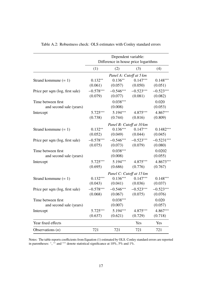|                                 | Dependent variable:<br>Difference in house price logarithms |                                  |                         |              |  |
|---------------------------------|-------------------------------------------------------------|----------------------------------|-------------------------|--------------|--|
|                                 | (1)                                                         | (2)                              | (3)                     | (4)          |  |
|                                 | Panel A: Cutoff at 5 km                                     |                                  |                         |              |  |
| Strand kommune $(= 1)$          | $0.132**$                                                   |                                  | $0.136***$ $0.147***$   | $0.148***$   |  |
|                                 |                                                             | $(0.061)$ $(0.057)$ $(0.050)$    |                         | (0.051)      |  |
| Price per sqm (log, first sale) | $-0.578***$                                                 |                                  | $-0.546***$ $-0.523***$ | $-0.523***$  |  |
|                                 |                                                             | $(0.079)$ $(0.077)$ $(0.081)$    |                         | (0.082)      |  |
| Time between first              |                                                             | $0.038***$                       |                         | 0.020        |  |
| and second sale (years)         |                                                             | (0.008)                          |                         | (0.053)      |  |
| Intercept                       |                                                             | $5.725***$ $5.194***$ $4.875***$ |                         | 4.867***     |  |
|                                 | (0.738)                                                     | (0.744)                          | (0.816)                 | (0.809)      |  |
|                                 |                                                             | Panel B: Cutoff at 10 km         |                         |              |  |
| Strand kommune $(= 1)$          | $0.132**$                                                   |                                  | $0.136***$ $0.147***$   | $0.1482***$  |  |
|                                 |                                                             | $(0.052)$ $(0.049)$ $(0.044)$    |                         | (0.045)      |  |
| Price per sqm (log, first sale) | $-0.578***$                                                 |                                  | $-0.546***$ $-0.523***$ | $-0.5231***$ |  |
|                                 |                                                             | $(0.075)$ $(0.073)$ $(0.079)$    |                         | (0.080)      |  |
| Time between first              |                                                             | $0.038***$                       |                         | 0.0202       |  |
| and second sale (years)         |                                                             | (0.008)                          |                         | (0.055)      |  |
| Intercept                       | $5.725***$                                                  |                                  | $5.194***$ $4.875***$   | $4.8673***$  |  |
|                                 | (0.695)                                                     | (0.686)                          | (0.776)                 | (0.767)      |  |
|                                 |                                                             | Panel C: Cutoff at 15 km         |                         |              |  |
| Strand kommune $(= 1)$          | $0.132***$                                                  |                                  | $0.136***$ $0.147***$   | $0.148***$   |  |
|                                 |                                                             | $(0.043)$ $(0.041)$ $(0.036)$    |                         | (0.037)      |  |
| Price per sqm (log, first sale) | $-0.578***$                                                 |                                  | $-0.546***$ $-0.523***$ | $-0.523***$  |  |
|                                 |                                                             | $(0.068)$ $(0.067)$              | (0.075)                 | (0.076)      |  |
| Time between first              |                                                             | $0.038***$                       |                         | 0.020        |  |
| and second sale (years)         |                                                             | (0.007)                          |                         | (0.057)      |  |
| Intercept                       | 5.725***                                                    | 5.194***                         | 4.875***                | 4.867***     |  |
|                                 | (0.637)                                                     | (0.621)                          | (0.729)                 | (0.718)      |  |
| Year fixed effects              |                                                             |                                  | Yes                     | Yes          |  |
| Observations $(n)$              | 721                                                         | 721                              | 721                     | 721          |  |

Table A.2: Robustness check: OLS estimates with Conley standard errors

Notes: The table reports coefficients from Equation (1) estimated by OLS. Conley standard errors are reported in parentheses: \*, \*\* and \*\*\* denote statistical significance at  $10\%$ , 5% and 1%.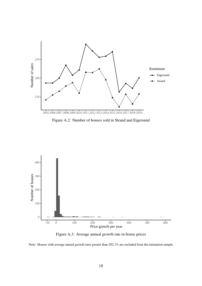

Figure A.2: Number of houses sold in Strand and Eigersund



Figure A.3: Average annual growth rate in house prices

Note: Houses with average annual growth rates greater than 202.1% are excluded from the estimation sample.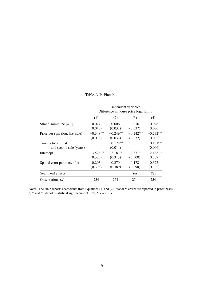Table A.3: Placebo

|                                               | Dependent variable:<br>Difference in house price logarithms |                        |                        |                        |
|-----------------------------------------------|-------------------------------------------------------------|------------------------|------------------------|------------------------|
|                                               | (1)                                                         | (2)                    | (3)                    | (4)                    |
| Strand kommune $(= 1)$                        | $-0.024$<br>(0.043)                                         | 0.006<br>(0.037)       | 0.016<br>(0.037)       | 0.026<br>(0.036)       |
| Price per sqm (log, first sale)               | $-0.348***$<br>(0.036)                                      | $-0.249***$<br>(0.033) | $-0.242***$<br>(0.032) | $-0.232***$<br>(0.032) |
| Time between first<br>and second sale (years) |                                                             | $0.128***$<br>(0.014)  |                        | $0.131***$<br>(0.046)  |
| Intercept                                     | $3.528***$<br>(0.325)                                       | $2.187***$<br>(0.313)  | $2.371***$<br>(0.300)  | $2.138***$<br>(0.307)  |
| Spatial error parameter $(\lambda)$           | $-0.203$<br>(0.396)                                         | $-0.279$<br>(0.389)    | $-0.178$<br>(0.398)    | $-0.327$<br>(0.382)    |
| Year fixed effects                            |                                                             |                        | <b>Yes</b>             | <b>Yes</b>             |
| Observations $(n)$                            | 254                                                         | 254                    | 254                    | 254                    |

Notes: The table reports coefficients from Equations (1) and (2). Standard errors are reported in parentheses:<br><sup>\*</sup>, <sup>\*\*</sup> and <sup>\*\*\*</sup> denote statistical significance at 10%, 5% and 1%.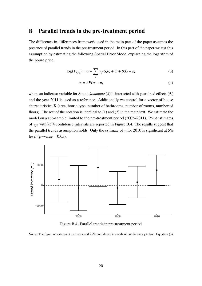#### **B Parallel trends in the pre-treatment period**

The difference-in-differences framework used in the main part of the paper assumes the presence of parallel trends in the pre-treatment period. In this part of the paper we test this assumption by estimating the following Spatial Error Model explaining the logarithm of the house price:

$$
\log(P_{i,t_0}) = \alpha + \sum_{i} \gamma_{jt} S_i \theta_t + \theta_i + \beta \mathbf{X}_i + \varepsilon_i
$$
\n(3)

$$
\varepsilon_i = \lambda \mathbf{W} \varepsilon_i + u_i \tag{4}
$$

where an indicator variable for Strand *kommune* (S) is interacted with year fixed effects ( $\theta_t$ ) and the year 2011 is used as a reference. Additionally we control for a vector of house characteristics **X** (area, house type, number of bathrooms, number of rooms, number of floors). The rest of the notation is identical to (1) and (2) in the main text. We estimate the model on a sub-sample limited to the pre-treatment period (2005–2011). Point estimates of  $\gamma_{it}$  with 95% confidence intervals are reported in Figure B.4. The results suggest that the parallel trends assumption holds. Only the estimate of  $\gamma$  for 2010 is significant at 5% level ( $p$ −value = 0.05).



Figure B.4: Parallel trends in pre-treatment period

Notes: The figure reports point estimates and 95% confidence intervals of coefficients  $\gamma_{it}$  from Equation (3).